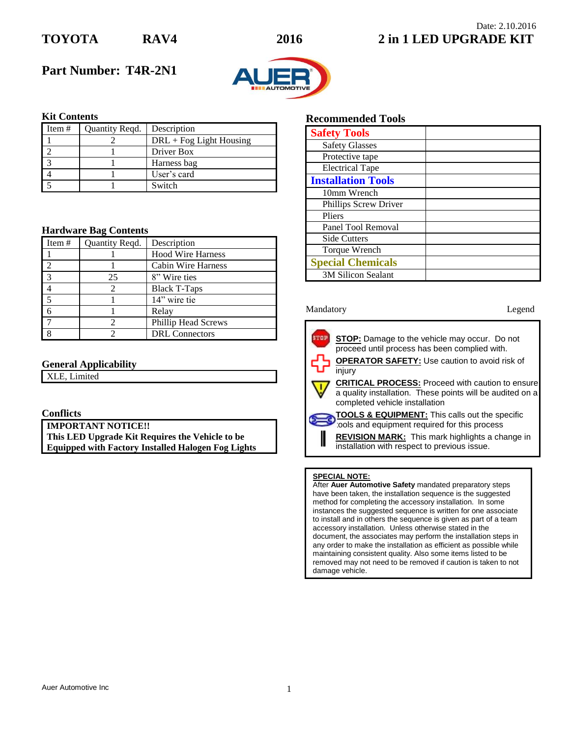

## Date: 2.10.2016 **TOYOTA RAV4 2016 2 in 1 LED UPGRADE KIT**

# **Part Number: T4R-2N1**



## **Kit Contents**

| Item# | Quantity Regd. | Description               |
|-------|----------------|---------------------------|
|       |                | $DRL + Fog Light Housing$ |
|       |                | Driver Box                |
|       |                | Harness bag               |
|       |                | User's card               |
|       |                | Switch                    |

### **Hardware Bag Contents**

| Item $#$       | Quantity Reqd. | Description                |
|----------------|----------------|----------------------------|
|                |                | <b>Hood Wire Harness</b>   |
|                |                | Cabin Wire Harness         |
| $\overline{3}$ | 25             | 8" Wire ties               |
|                |                | <b>Black T-Taps</b>        |
|                |                | 14" wire tie               |
|                |                | Relay                      |
|                |                | <b>Phillip Head Screws</b> |
|                |                | <b>DRL</b> Connectors      |

## **General Applicability**

XLE, Limited

## **Conflicts**

**IMPORTANT NOTICE!! This LED Upgrade Kit Requires the Vehicle to be Equipped with Factory Installed Halogen Fog Lights**

## **Recommended Tools**

| <b>Safety Tools</b>       |  |
|---------------------------|--|
| <b>Safety Glasses</b>     |  |
| Protective tape           |  |
| <b>Electrical Tape</b>    |  |
| <b>Installation Tools</b> |  |
| 10mm Wrench               |  |
| Phillips Screw Driver     |  |
| Pliers                    |  |
| Panel Tool Removal        |  |
| <b>Side Cutters</b>       |  |
| Torque Wrench             |  |
| <b>Special Chemicals</b>  |  |
| <b>3M Silicon Sealant</b> |  |

#### Mandatory **Legend**



tools and equipment required for this process

**REVISION MARK:** This mark highlights a change in installation with respect to previous issue.

#### **SPECIAL NOTE:**

I

After **Auer Automotive Safety** mandated preparatory steps have been taken, the installation sequence is the suggested method for completing the accessory installation. In some instances the suggested sequence is written for one associate to install and in others the sequence is given as part of a team accessory installation. Unless otherwise stated in the document, the associates may perform the installation steps in any order to make the installation as efficient as possible while maintaining consistent quality. Also some items listed to be removed may not need to be removed if caution is taken to not damage vehicle.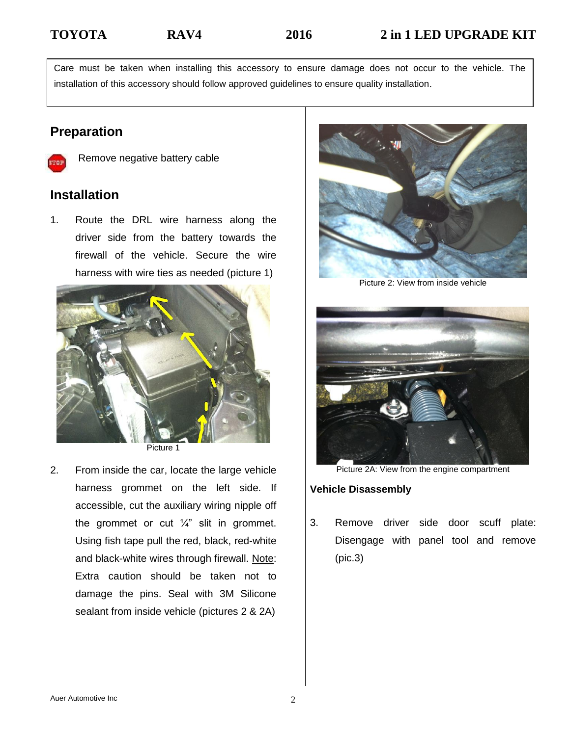Care must be taken when installing this accessory to ensure damage does not occur to the vehicle. The installation of this accessory should follow approved guidelines to ensure quality installation.

# **Preparation**



Remove negative battery cable

# **Installation**

1. Route the DRL wire harness along the driver side from the battery towards the firewall of the vehicle. Secure the wire harness with wire ties as needed (picture 1)



Picture 1

2. From inside the car, locate the large vehicle harness grommet on the left side. If accessible, cut the auxiliary wiring nipple off the grommet or cut  $\frac{1}{4}$ " slit in grommet. Using fish tape pull the red, black, red-white and black-white wires through firewall. Note: Extra caution should be taken not to damage the pins. Seal with 3M Silicone sealant from inside vehicle (pictures 2 & 2A)



Picture 2: View from inside vehicle



Picture 2A: View from the engine compartment

## **Vehicle Disassembly**

3. Remove driver side door scuff plate: Disengage with panel tool and remove (pic.3)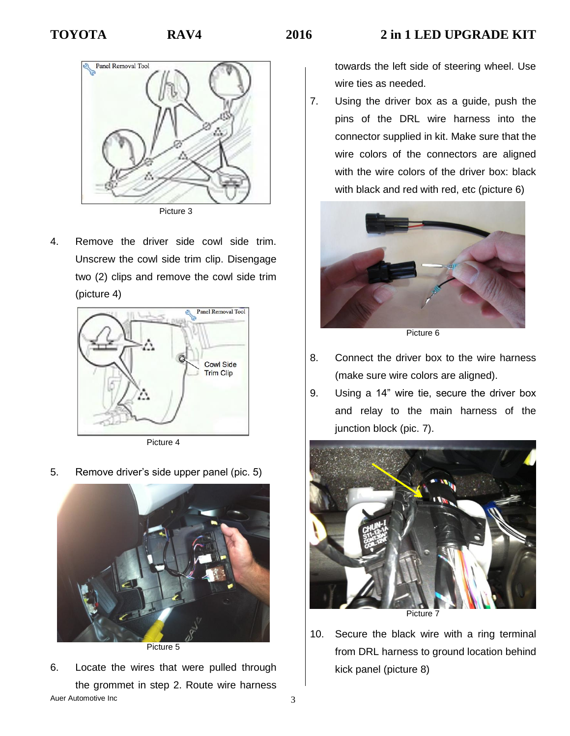



4. Remove the driver side cowl side trim. Unscrew the cowl side trim clip. Disengage two (2) clips and remove the cowl side trim (picture 4)



Picture 4

5. Remove driver's side upper panel (pic. 5)



Picture 5

Auer Automotive Inc 3 6. Locate the wires that were pulled through the grommet in step 2. Route wire harness

towards the left side of steering wheel. Use wire ties as needed.

7. Using the driver box as a guide, push the pins of the DRL wire harness into the connector supplied in kit. Make sure that the wire colors of the connectors are aligned with the wire colors of the driver box: black with black and red with red, etc (picture 6)



Picture 6

- 8. Connect the driver box to the wire harness (make sure wire colors are aligned).
- 9. Using a 14" wire tie, secure the driver box and relay to the main harness of the junction block (pic. 7).



10. Secure the black wire with a ring terminal from DRL harness to ground location behind kick panel (picture 8)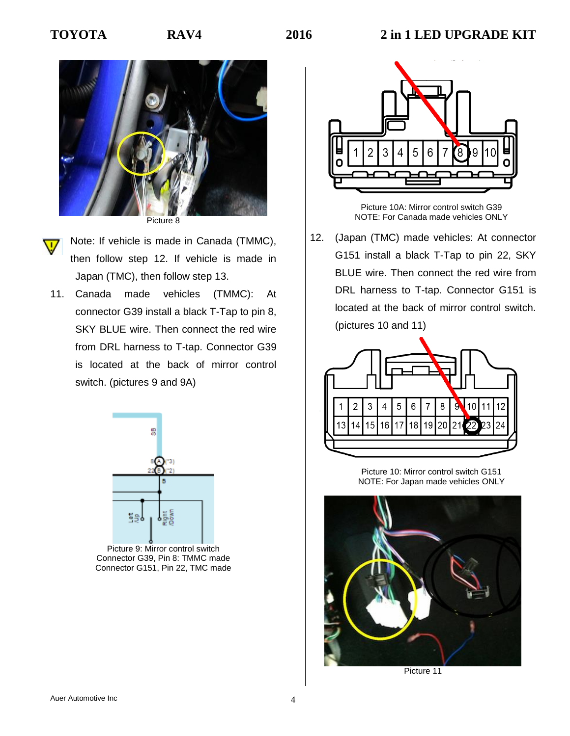



Note: If vehicle is made in Canada (TMMC),

- then follow step 12. If vehicle is made in Japan (TMC), then follow step 13.
- 11. Canada made vehicles (TMMC): At connector G39 install a black T-Tap to pin 8, SKY BLUE wire. Then connect the red wire from DRL harness to T-tap. Connector G39 is located at the back of mirror control switch. (pictures 9 and 9A)



Picture 9: Mirror control switch Connector G39, Pin 8: TMMC made Connector G151, Pin 22, TMC made



Picture 10A: Mirror control switch G39 NOTE: For Canada made vehicles ONLY

12. (Japan (TMC) made vehicles: At connector G151 install a black T-Tap to pin 22, SKY BLUE wire. Then connect the red wire from DRL harness to T-tap. Connector G151 is located at the back of mirror control switch. (pictures 10 and 11)



Picture 10: Mirror control switch G151 NOTE: For Japan made vehicles ONLY



Picture 11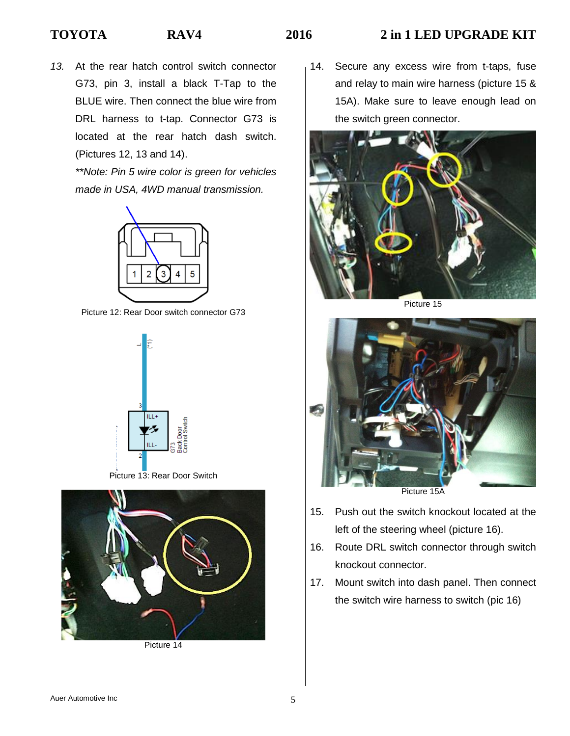# **TOYOTA RAV4 2016 2 in 1 LED UPGRADE KIT**

*13.* At the rear hatch control switch connector G73, pin 3, install a black T-Tap to the BLUE wire. Then connect the blue wire from DRL harness to t-tap. Connector G73 is located at the rear hatch dash switch. (Pictures 12, 13 and 14).

> *\*\*Note: Pin 5 wire color is green for vehicles made in USA, 4WD manual transmission.*



Picture 12: Rear Door switch connector G73







Picture 14

14. Secure any excess wire from t-taps, fuse and relay to main wire harness (picture 15 & 15A). Make sure to leave enough lead on the switch green connector.



Picture 15



- 15. Push out the switch knockout located at the left of the steering wheel (picture 16).
- 16. Route DRL switch connector through switch knockout connector.
- 17. Mount switch into dash panel. Then connect the switch wire harness to switch (pic 16)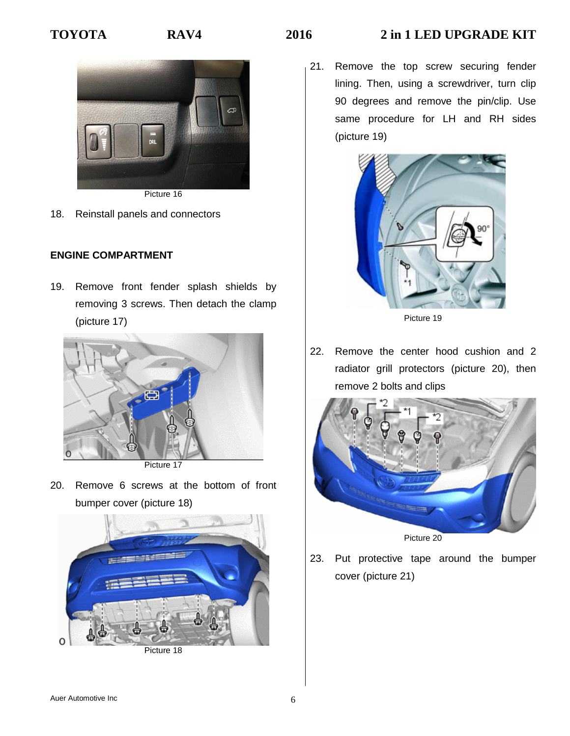# **TOYOTA RAV4 2016 2 in 1 LED UPGRADE KIT**



- Picture 16
- 18. Reinstall panels and connectors

## **ENGINE COMPARTMENT**

19. Remove front fender splash shields by removing 3 screws. Then detach the clamp (picture 17)



Picture 17

20. Remove 6 screws at the bottom of front bumper cover (picture 18)



Picture 18

21. Remove the top screw securing fender lining. Then, using a screwdriver, turn clip 90 degrees and remove the pin/clip. Use same procedure for LH and RH sides (picture 19)



Picture 19

22. Remove the center hood cushion and 2 radiator grill protectors (picture 20), then remove 2 bolts and clips



23. Put protective tape around the bumper cover (picture 21)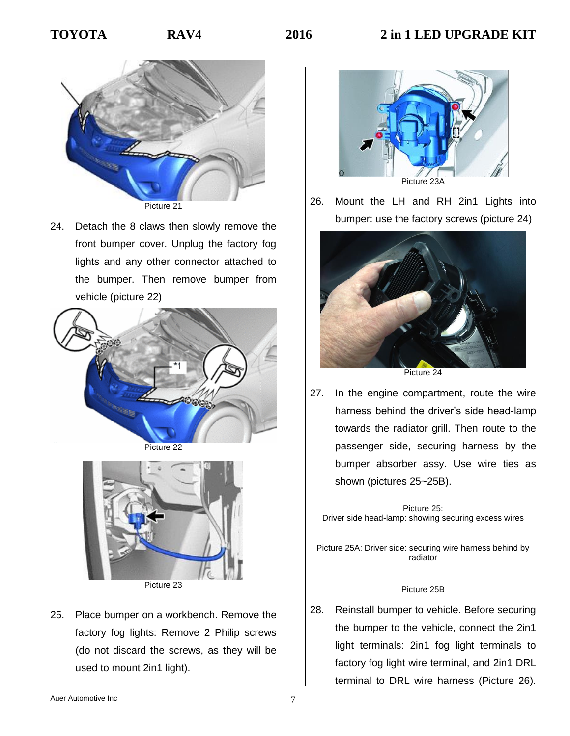

24. Detach the 8 claws then slowly remove the front bumper cover. Unplug the factory fog lights and any other connector attached to the bumper. Then remove bumper from vehicle (picture 22)



Picture 22



Picture 23

25. Place bumper on a workbench. Remove the factory fog lights: Remove 2 Philip screws (do not discard the screws, as they will be used to mount 2in1 light).



26. Mount the LH and RH 2in1 Lights into bumper: use the factory screws (picture 24)



27. In the engine compartment, route the wire harness behind the driver's side head-lamp towards the radiator grill. Then route to the passenger side, securing harness by the bumper absorber assy. Use wire ties as shown (pictures 25~25B).

Picture 25: Driver side head-lamp: showing securing excess wires

Picture 25A: Driver side: securing wire harness behind by radiator

#### Picture 25B

28. Reinstall bumper to vehicle. Before securing the bumper to the vehicle, connect the 2in1 light terminals: 2in1 fog light terminals to factory fog light wire terminal, and 2in1 DRL terminal to DRL wire harness (Picture 26).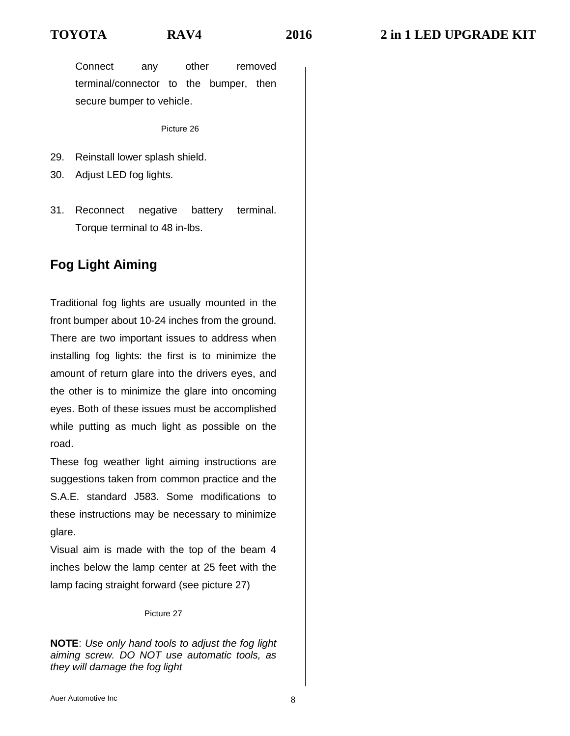Connect any other removed terminal/connector to the bumper, then secure bumper to vehicle.

Picture 26

- 29. Reinstall lower splash shield.
- 30. Adjust LED fog lights.
- 31. Reconnect negative battery terminal. Torque terminal to 48 in-lbs.

# **Fog Light Aiming**

Traditional fog lights are usually mounted in the front bumper about 10-24 inches from the ground. There are two important issues to address when installing fog lights: the first is to minimize the amount of return glare into the drivers eyes, and the other is to minimize the glare into oncoming eyes. Both of these issues must be accomplished while putting as much light as possible on the road.

These fog weather light aiming instructions are suggestions taken from common practice and the S.A.E. standard J583. Some modifications to these instructions may be necessary to minimize glare.

Visual aim is made with the top of the beam 4 inches below the lamp center at 25 feet with the lamp facing straight forward (see picture 27)

### Picture 27

**NOTE**: *Use only hand tools to adjust the fog light aiming screw. DO NOT use automatic tools, as they will damage the fog light*